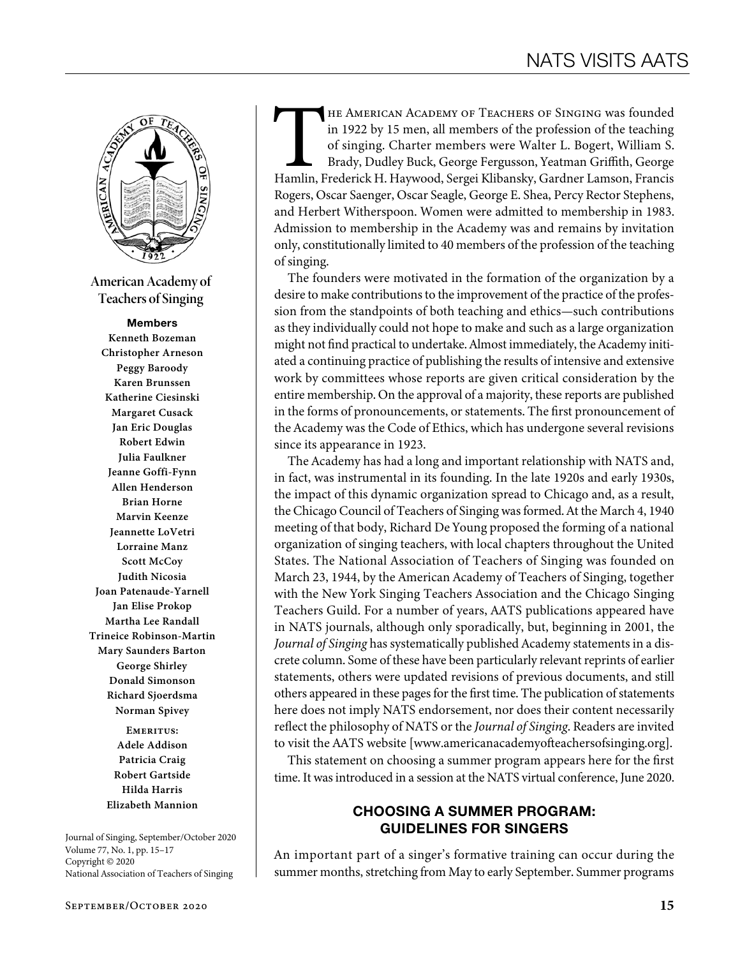

**American Academy of Teachers of Singing**

#### Members

**Kenneth Bozeman Christopher Arneson Peggy Baroody Karen Brunssen Katherine Ciesinski Margaret Cusack Jan Eric Douglas Robert Edwin Julia Faulkner Jeanne Goffi-Fynn Allen Henderson Brian Horne Marvin Keenze Jeannette LoVetri Lorraine Manz Scott McCoy Judith Nicosia Joan Patenaude-Yarnell Jan Elise Prokop Martha Lee Randall Trineice Robinson-Martin Mary Saunders Barton George Shirley Donald Simonson Richard Sjoerdsma Norman Spivey**

> **Emeritus: Adele Addison Patricia Craig Robert Gartside Hilda Harris Elizabeth Mannion**

Journal of Singing, September/October 2020 Volume 77, No. 1, pp. 15–17 Copyright © 2020 National Association of Teachers of Singing

THE AMERICAN ACADEMY OF TEACHERS OF SINGING was founded<br>
in 1922 by 15 men, all members of the profession of the teaching<br>
of singing. Charter members were Walter L. Bogert, William S.<br>
Brady, Dudley Buck, George Fergusson in 1922 by 15 men, all members of the profession of the teaching of singing. Charter members were Walter L. Bogert, William S. Brady, Dudley Buck, George Fergusson, Yeatman Griffith, George Rogers, Oscar Saenger, Oscar Seagle, George E. Shea, Percy Rector Stephens, and Herbert Witherspoon. Women were admitted to membership in 1983. Admission to membership in the Academy was and remains by invitation only, constitutionally limited to 40 members of the profession of the teaching of singing.

The founders were motivated in the formation of the organization by a desire to make contributions to the improvement of the practice of the profession from the standpoints of both teaching and ethics—such contributions as they individually could not hope to make and such as a large organization might not find practical to undertake. Almost immediately, the Academy initiated a continuing practice of publishing the results of intensive and extensive work by committees whose reports are given critical consideration by the entire membership. On the approval of a majority, these reports are published in the forms of pronouncements, or statements. The first pronouncement of the Academy was the Code of Ethics, which has undergone several revisions since its appearance in 1923.

The Academy has had a long and important relationship with NATS and, in fact, was instrumental in its founding. In the late 1920s and early 1930s, the impact of this dynamic organization spread to Chicago and, as a result, the Chicago Council of Teachers of Singing was formed. At the March 4, 1940 meeting of that body, Richard De Young proposed the forming of a national organization of singing teachers, with local chapters throughout the United States. The National Association of Teachers of Singing was founded on March 23, 1944, by the American Academy of Teachers of Singing, together with the New York Singing Teachers Association and the Chicago Singing Teachers Guild. For a number of years, AATS publications appeared have in NATS journals, although only sporadically, but, beginning in 2001, the *Journal of Singing* has systematically published Academy statements in a discrete column. Some of these have been particularly relevant reprints of earlier statements, others were updated revisions of previous documents, and still others appeared in these pages for the first time. The publication of statements here does not imply NATS endorsement, nor does their content necessarily reflect the philosophy of NATS or the *Journal of Singing*. Readers are invited to visit the AATS website [www.americanacademyofteachersofsinging.org].

This statement on choosing a summer program appears here for the first time. It was introduced in a session at the NATS virtual conference, June 2020.

# CHOOSING A SUMMER PROGRAM: GUIDELINES FOR SINGERS

An important part of a singer's formative training can occur during the summer months, stretching from May to early September. Summer programs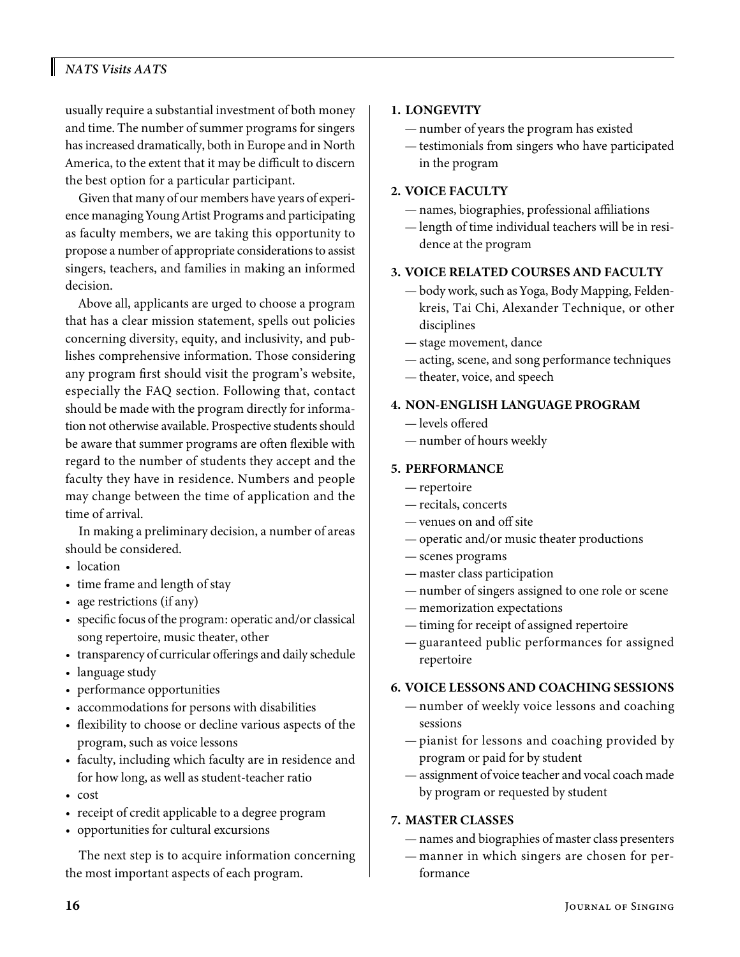# *NATS Visits AATS*

usually require a substantial investment of both money and time. The number of summer programs for singers has increased dramatically, both in Europe and in North America, to the extent that it may be difficult to discern the best option for a particular participant.

Given that many of our members have years of experience managing Young Artist Programs and participating as faculty members, we are taking this opportunity to propose a number of appropriate considerations to assist singers, teachers, and families in making an informed decision.

Above all, applicants are urged to choose a program that has a clear mission statement, spells out policies concerning diversity, equity, and inclusivity, and publishes comprehensive information. Those considering any program first should visit the program's website, especially the FAQ section. Following that, contact should be made with the program directly for information not otherwise available. Prospective students should be aware that summer programs are often flexible with regard to the number of students they accept and the faculty they have in residence. Numbers and people may change between the time of application and the time of arrival.

In making a preliminary decision, a number of areas should be considered.

- location
- time frame and length of stay
- age restrictions (if any)
- specific focus of the program: operatic and/or classical song repertoire, music theater, other
- transparency of curricular offerings and daily schedule
- language study
- performance opportunities
- accommodations for persons with disabilities
- flexibility to choose or decline various aspects of the program, such as voice lessons
- faculty, including which faculty are in residence and for how long, as well as student-teacher ratio
- cost
- receipt of credit applicable to a degree program
- opportunities for cultural excursions

The next step is to acquire information concerning the most important aspects of each program.

### **1. LONGEVITY**

- number of years the program has existed
- testimonials from singers who have participated in the program

### **2. VOICE FACULTY**

- names, biographies, professional affiliations
- length of time individual teachers will be in residence at the program

#### **3. VOICE RELATED COURSES AND FACULTY**

- body work, such as Yoga, Body Mapping, Feldenkreis, Tai Chi, Alexander Technique, or other disciplines
- stage movement, dance
- acting, scene, and song performance techniques
- theater, voice, and speech

## **4. NON-ENGLISH LANGUAGE PROGRAM**

- levels offered
- number of hours weekly

## **5. PERFORMANCE**

- repertoire
- recitals, concerts
- venues on and off site
- operatic and/or music theater productions
- scenes programs
- master class participation
- number of singers assigned to one role or scene
- memorization expectations
- timing for receipt of assigned repertoire
- guaranteed public performances for assigned repertoire

#### **6. VOICE LESSONS AND COACHING SESSIONS**

- number of weekly voice lessons and coaching sessions
- pianist for lessons and coaching provided by program or paid for by student
- assignment of voice teacher and vocal coach made by program or requested by student

### **7. MASTER CLASSES**

- names and biographies of master class presenters
- manner in which singers are chosen for performance